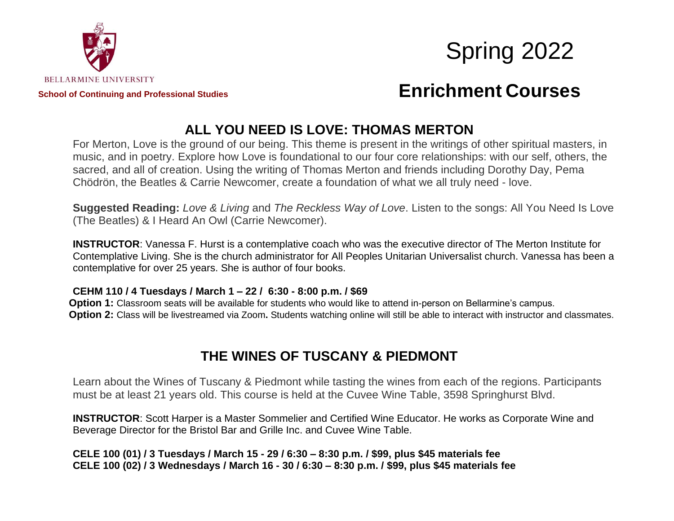



# **ALL YOU NEED IS LOVE: THOMAS MERTON**

For Merton, Love is the ground of our being. This theme is present in the writings of other spiritual masters, in music, and in poetry. Explore how Love is foundational to our four core relationships: with our self, others, the sacred, and all of creation. Using the writing of Thomas Merton and friends including Dorothy Day, Pema Chödrön, the Beatles & Carrie Newcomer, create a foundation of what we all truly need - love.

**Suggested Reading:** *Love & Living* and *The Reckless Way of Love*. Listen to the songs: All You Need Is Love (The Beatles) & I Heard An Owl (Carrie Newcomer).

**INSTRUCTOR**: Vanessa F. Hurst is a contemplative coach who was the executive director of The Merton Institute for Contemplative Living. She is the church administrator for All Peoples Unitarian Universalist church. Vanessa has been a contemplative for over 25 years. She is author of four books.

#### **CEHM 110 / 4 Tuesdays / March 1 – 22 / 6:30 - 8:00 p.m. / \$69**

**Option 1:** Classroom seats will be available for students who would like to attend in-person on Bellarmine's campus. **Option 2:** Class will be livestreamed via Zoom**.** Students watching online will still be able to interact with instructor and classmates.

#### **THE WINES OF TUSCANY & PIEDMONT**

Learn about the Wines of Tuscany & Piedmont while tasting the wines from each of the regions. Participants must be at least 21 years old. This course is held at the Cuvee Wine Table, 3598 Springhurst Blvd.

**INSTRUCTOR**: Scott Harper is a Master Sommelier and Certified Wine Educator. He works as Corporate Wine and Beverage Director for the Bristol Bar and Grille Inc. and Cuvee Wine Table.

**CELE 100 (01) / 3 Tuesdays / March 15 - 29 / 6:30 – 8:30 p.m. / \$99, plus \$45 materials fee CELE 100 (02) / 3 Wednesdays / March 16 - 30 / 6:30 – 8:30 p.m. / \$99, plus \$45 materials fee**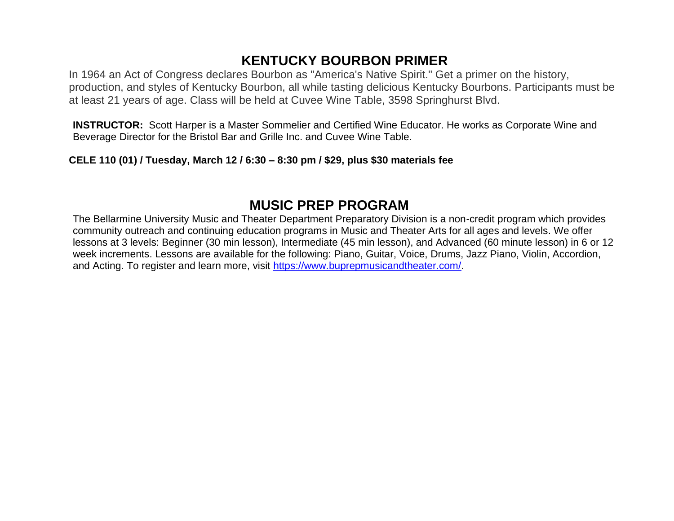# **KENTUCKY BOURBON PRIMER**

In 1964 an Act of Congress declares Bourbon as "America's Native Spirit." Get a primer on the history, production, and styles of Kentucky Bourbon, all while tasting delicious Kentucky Bourbons. Participants must be at least 21 years of age. Class will be held at Cuvee Wine Table, 3598 Springhurst Blvd.

**INSTRUCTOR:** Scott Harper is a Master Sommelier and Certified Wine Educator. He works as Corporate Wine and Beverage Director for the Bristol Bar and Grille Inc. and Cuvee Wine Table.

**CELE 110 (01) / Tuesday, March 12 / 6:30 – 8:30 pm / \$29, plus \$30 materials fee**

## **MUSIC PREP PROGRAM**

The Bellarmine University Music and Theater Department Preparatory Division is a non-credit program which provides community outreach and continuing education programs in Music and Theater Arts for all ages and levels. We offer lessons at 3 levels: Beginner (30 min lesson), Intermediate (45 min lesson), and Advanced (60 minute lesson) in 6 or 12 week increments. Lessons are available for the following: Piano, Guitar, Voice, Drums, Jazz Piano, Violin, Accordion, and Acting. To register and learn more, visit [https://www.buprepmusicandtheater.com/.](https://www.buprepmusicandtheater.com/)